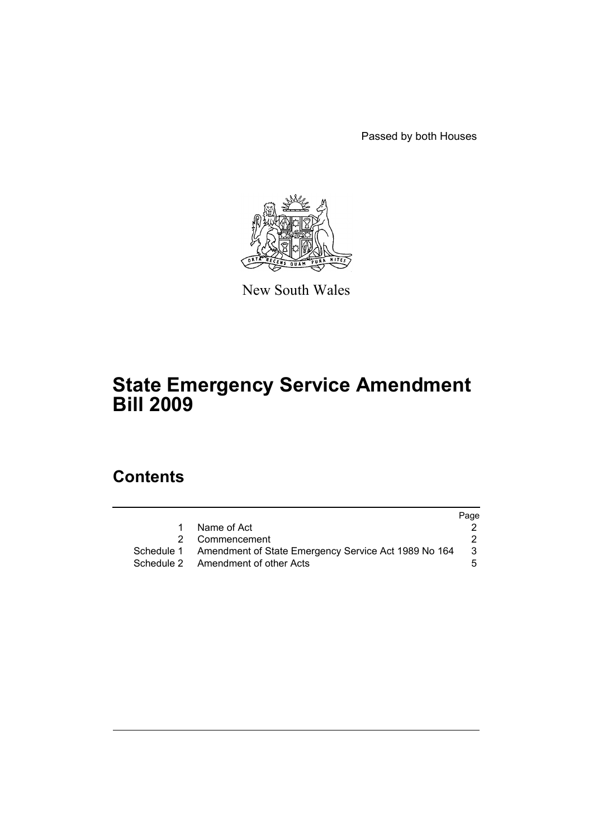Passed by both Houses



New South Wales

# **State Emergency Service Amendment Bill 2009**

# **Contents**

|           |                                                                 | Page |
|-----------|-----------------------------------------------------------------|------|
| $1 \quad$ | Name of Act                                                     |      |
|           | 2 Commencement                                                  |      |
|           | Schedule 1 Amendment of State Emergency Service Act 1989 No 164 | 3    |
|           | Schedule 2 Amendment of other Acts                              | 5.   |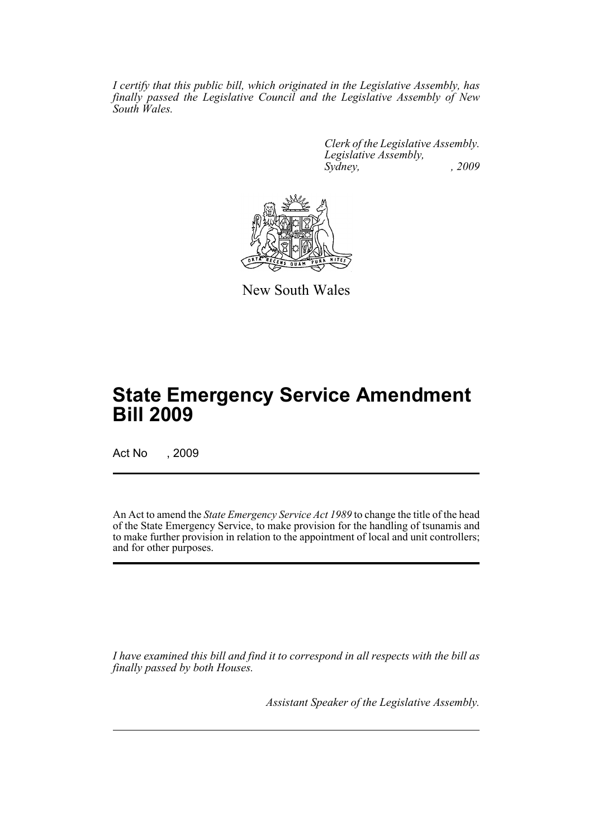*I certify that this public bill, which originated in the Legislative Assembly, has finally passed the Legislative Council and the Legislative Assembly of New South Wales.*

> *Clerk of the Legislative Assembly. Legislative Assembly, Sydney, , 2009*



New South Wales

# **State Emergency Service Amendment Bill 2009**

Act No , 2009

An Act to amend the *State Emergency Service Act 1989* to change the title of the head of the State Emergency Service, to make provision for the handling of tsunamis and to make further provision in relation to the appointment of local and unit controllers; and for other purposes.

*I have examined this bill and find it to correspond in all respects with the bill as finally passed by both Houses.*

*Assistant Speaker of the Legislative Assembly.*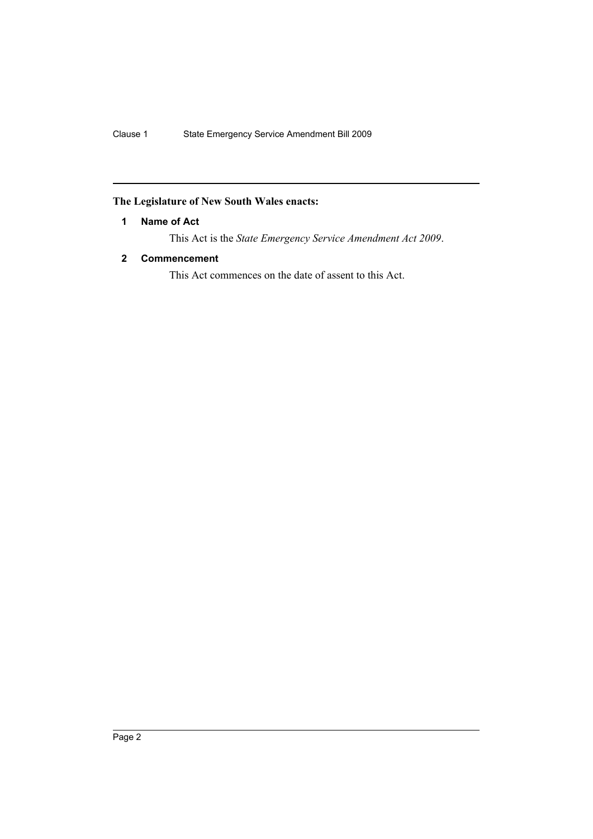## <span id="page-2-0"></span>**The Legislature of New South Wales enacts:**

### **1 Name of Act**

This Act is the *State Emergency Service Amendment Act 2009*.

### <span id="page-2-1"></span>**2 Commencement**

This Act commences on the date of assent to this Act.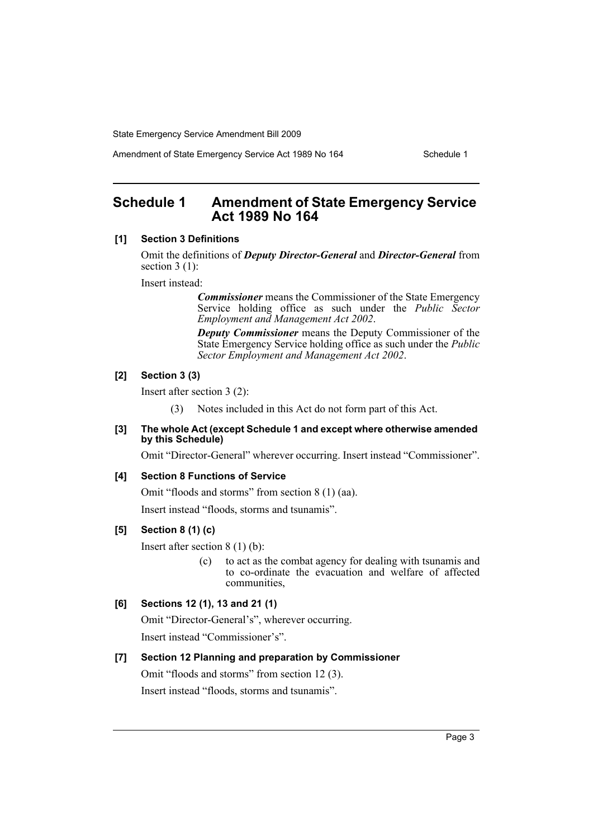State Emergency Service Amendment Bill 2009

Amendment of State Emergency Service Act 1989 No 164 Schedule 1

## <span id="page-3-0"></span>**Schedule 1 Amendment of State Emergency Service Act 1989 No 164**

#### **[1] Section 3 Definitions**

Omit the definitions of *Deputy Director-General* and *Director-General* from section 3 (1):

Insert instead:

*Commissioner* means the Commissioner of the State Emergency Service holding office as such under the *Public Sector Employment and Management Act 2002*.

*Deputy Commissioner* means the Deputy Commissioner of the State Emergency Service holding office as such under the *Public Sector Employment and Management Act 2002*.

#### **[2] Section 3 (3)**

Insert after section 3 (2):

(3) Notes included in this Act do not form part of this Act.

#### **[3] The whole Act (except Schedule 1 and except where otherwise amended by this Schedule)**

Omit "Director-General" wherever occurring. Insert instead "Commissioner".

#### **[4] Section 8 Functions of Service**

Omit "floods and storms" from section 8 (1) (aa).

Insert instead "floods, storms and tsunamis".

#### **[5] Section 8 (1) (c)**

Insert after section 8 (1) (b):

(c) to act as the combat agency for dealing with tsunamis and to co-ordinate the evacuation and welfare of affected communities,

#### **[6] Sections 12 (1), 13 and 21 (1)**

Omit "Director-General's", wherever occurring. Insert instead "Commissioner's".

#### **[7] Section 12 Planning and preparation by Commissioner**

Omit "floods and storms" from section 12 (3). Insert instead "floods, storms and tsunamis".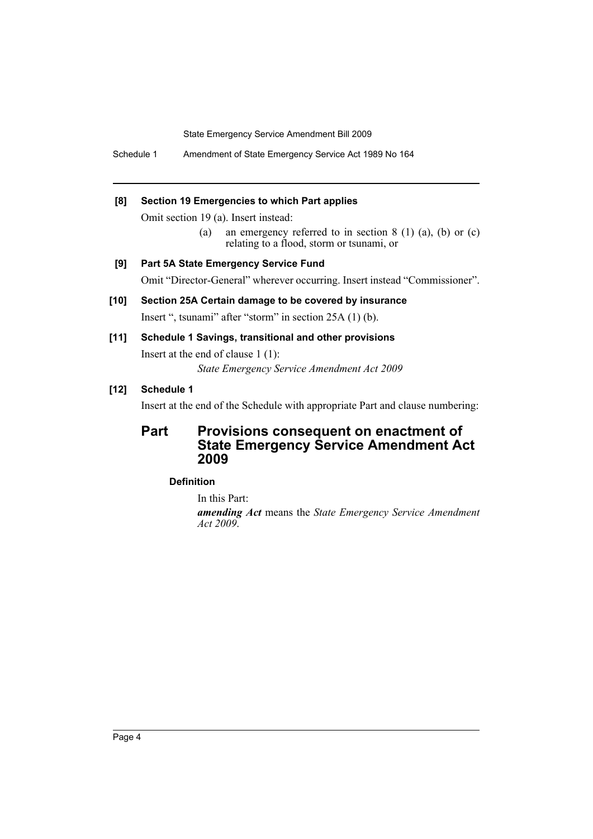State Emergency Service Amendment Bill 2009

Schedule 1 Amendment of State Emergency Service Act 1989 No 164

#### **[8] Section 19 Emergencies to which Part applies**

Omit section 19 (a). Insert instead:

(a) an emergency referred to in section  $8(1)(a)$ , (b) or (c) relating to a flood, storm or tsunami, or

**[9] Part 5A State Emergency Service Fund** Omit "Director-General" wherever occurring. Insert instead "Commissioner".

**[10] Section 25A Certain damage to be covered by insurance** Insert ", tsunami" after "storm" in section 25A (1) (b).

#### **[11] Schedule 1 Savings, transitional and other provisions**

Insert at the end of clause 1 (1):

*State Emergency Service Amendment Act 2009*

## **[12] Schedule 1**

Insert at the end of the Schedule with appropriate Part and clause numbering:

## **Part Provisions consequent on enactment of State Emergency Service Amendment Act 2009**

#### **Definition**

In this Part:

*amending Act* means the *State Emergency Service Amendment Act 2009*.